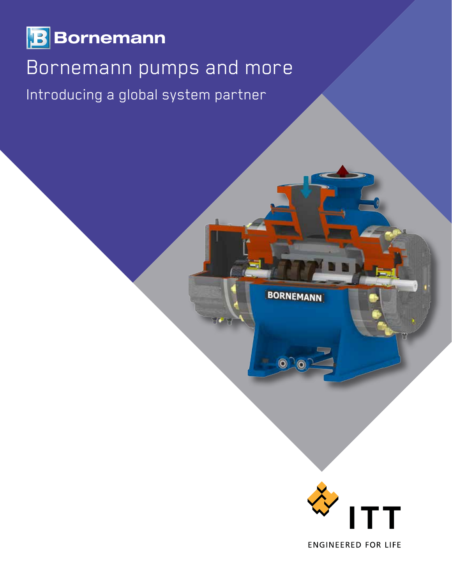

# Bornemann pumps and more

Introducing a global system partner



**BORNEMANN** 

 $\odot$   $\odot$ 

**ENGINEERED FOR LIFE**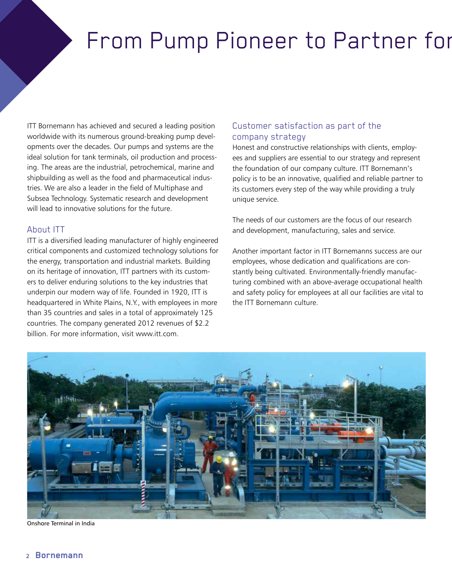# From Pump Pioneer to Partner for

ITT Bornemann has achieved and secured a leading position worldwide with its numerous ground-breaking pump developments over the decades. Our pumps and systems are the ideal solution for tank terminals, oil production and processing. The areas are the industrial, petrochemical, marine and shipbuilding as well as the food and pharmaceutical industries. We are also a leader in the field of Multiphase and Subsea Technology. Systematic research and development will lead to innovative solutions for the future.

#### About ITT

ITT is a diversified leading manufacturer of highly engineered critical components and customized technology solutions for the energy, transportation and industrial markets. Building on its heritage of innovation, ITT partners with its customers to deliver enduring solutions to the key industries that underpin our modern way of life. Founded in 1920, ITT is headquartered in White Plains, N.Y., with employees in more than 35 countries and sales in a total of approximately 125 countries. The company generated 2012 revenues of \$2.2 billion. For more information, visit www.itt.com.

## Customer satisfaction as part of the company strategy

Honest and constructive relationships with clients, employees and suppliers are essential to our strategy and represent the foundation of our company culture. ITT Bornemann's policy is to be an innovative, qualified and reliable partner to its customers every step of the way while providing a truly unique service.

The needs of our customers are the focus of our research and development, manufacturing, sales and service.

Another important factor in ITT Bornemanns success are our employees, whose dedication and qualifications are constantly being cultivated. Environmentally-friendly manufacturing combined with an above-average occupational health and safety policy for employees at all our facilities are vital to the ITT Bornemann culture.



Onshore Terminal in India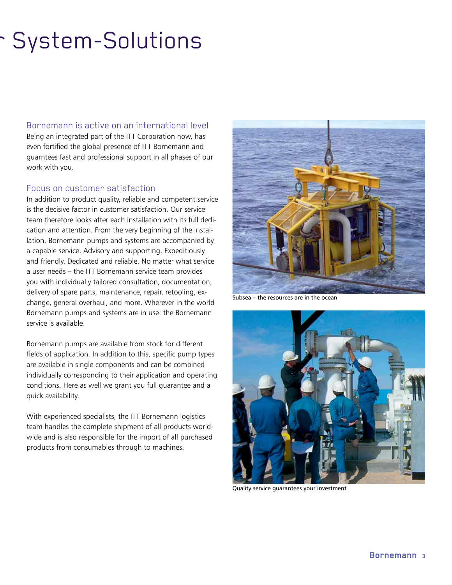# System-Solutions

#### Bornemann is active on an international level

Being an integrated part of the ITT Corporation now, has even fortified the global presence of ITT Bornemann and guarntees fast and professional support in all phases of our work with you.

### Focus on customer satisfaction

In addition to product quality, reliable and competent service is the decisive factor in customer satisfaction. Our service team therefore looks after each installation with its full dedication and attention. From the very beginning of the installation, Bornemann pumps and systems are accompanied by a capable service. Advisory and supporting. Expeditiously and friendly. Dedicated and reliable. No matter what service a user needs – the ITT Bornemann service team provides you with individually tailored consultation, documentation, delivery of spare parts, maintenance, repair, retooling, exchange, general overhaul, and more. Wherever in the world Bornemann pumps and systems are in use: the Bornemann service is available.

Bornemann pumps are available from stock for different fields of application. In addition to this, specific pump types are available in single components and can be combined individually corresponding to their application and operating conditions. Here as well we grant you full guarantee and a quick availability.

With experienced specialists, the ITT Bornemann logistics team handles the complete shipment of all products worldwide and is also responsible for the import of all purchased products from consumables through to machines.



Subsea – the resources are in the ocean



Quality service guarantees your investment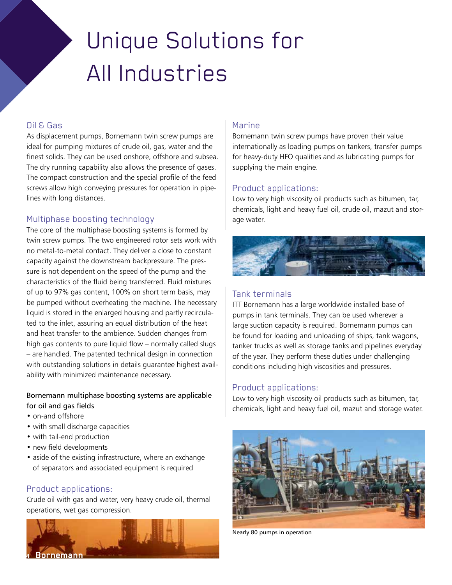# Unique Solutions for All Industries

#### Oil & Gas

As displacement pumps, Bornemann twin screw pumps are ideal for pumping mixtures of crude oil, gas, water and the finest solids. They can be used onshore, offshore and subsea. The dry running capability also allows the presence of gases. The compact construction and the special profile of the feed screws allow high conveying pressures for operation in pipelines with long distances.

### Multiphase boosting technology

The core of the multiphase boosting systems is formed by twin screw pumps. The two engineered rotor sets work with no metal-to-metal contact. They deliver a close to constant capacity against the downstream backpressure. The pressure is not dependent on the speed of the pump and the characteristics of the fluid being transferred. Fluid mixtures of up to 97% gas content, 100% on short term basis, may be pumped without overheating the machine. The necessary liquid is stored in the enlarged housing and partly recirculated to the inlet, assuring an equal distribution of the heat and heat transfer to the ambience. Sudden changes from high gas contents to pure liquid flow – normally called slugs – are handled. The patented technical design in connection with outstanding solutions in details guarantee highest availability with minimized maintenance necessary.

#### Bornemann multiphase boosting systems are applicable for oil and gas fields

- on-and offshore
- with small discharge capacities
- with tail-end production
- new field developments
- aside of the existing infrastructure, where an exchange of separators and associated equipment is required

### Product applications:

Crude oil with gas and water, very heavy crude oil, thermal operations, wet gas compression.



#### Marine

Bornemann twin screw pumps have proven their value internationally as loading pumps on tankers, transfer pumps for heavy-duty HFO qualities and as lubricating pumps for supplying the main engine.

#### Product applications:

Low to very high viscosity oil products such as bitumen, tar, chemicals, light and heavy fuel oil, crude oil, mazut and storage water.



# Tank terminals

ITT Bornemann has a large worldwide installed base of pumps in tank terminals. They can be used wherever a large suction capacity is required. Bornemann pumps can be found for loading and unloading of ships, tank wagons, tanker trucks as well as storage tanks and pipelines everyday of the year. They perform these duties under challenging conditions including high viscosities and pressures.

### Product applications:

Low to very high viscosity oil products such as bitumen, tar, chemicals, light and heavy fuel oil, mazut and storage water.



Nearly 80 pumps in operation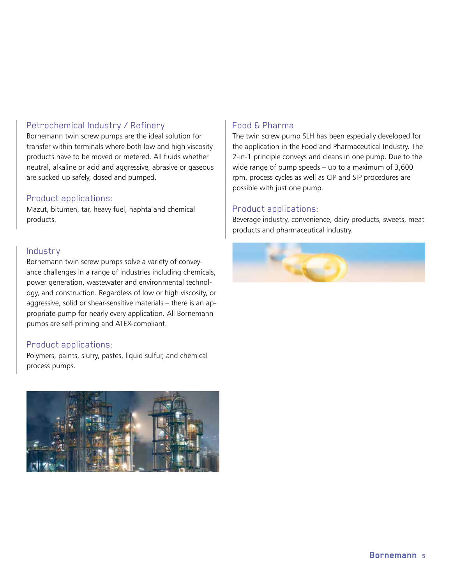## Petrochemical Industry / Refinery

Bornemann twin screw pumps are the ideal solution for transfer within terminals where both low and high viscosity products have to be moved or metered. All fluids whether neutral, alkaline or acid and aggressive, abrasive or gaseous are sucked up safely, dosed and pumped.

#### Product applications:

Mazut, bitumen, tar, heavy fuel, naphta and chemical products.

### Industry

Bornemann twin screw pumps solve a variety of conveyance challenges in a range of industries including chemicals, power generation, wastewater and environmental technology, and construction. Regardless of low or high viscosity, or aggressive, solid or shear-sensitive materials – there is an appropriate pump for nearly every application. All Bornemann pumps are self-priming and ATEX-compliant.

### Product applications:

Polymers, paints, slurry, pastes, liquid sulfur, and chemical process pumps.



# Food & Pharma

The twin screw pump SLH has been especially developed for the application in the Food and Pharmaceutical Industry. The 2-in-1 principle conveys and cleans in one pump. Due to the wide range of pump speeds – up to a maximum of 3,600 rpm, process cycles as well as CIP and SIP procedures are possible with just one pump.

#### Product applications:

Beverage industry, convenience, dairy products, sweets, meat products and pharmaceutical industry.

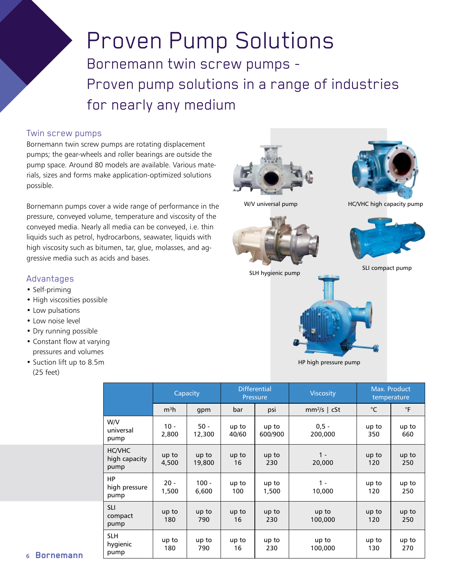# Proven Pump Solutions Bornemann twin screw pumps - Proven pump solutions in a range of industries for nearly any medium

#### Twin screw pumps

Bornemann twin screw pumps are rotating displacement pumps; the gear-wheels and roller bearings are outside the pump space. Around 80 models are available. Various materials, sizes and forms make application-optimized solutions possible.

Bornemann pumps cover a wide range of performance in the pressure, conveyed volume, temperature and viscosity of the conveyed media. Nearly all media can be conveyed, i.e. thin liquids such as petrol, hydrocarbons, seawater, liquids with high viscosity such as bitumen, tar, glue, molasses, and aggressive media such as acids and bases.

#### Advantages

- Self-priming
- High viscosities possible
- Low pulsations
- Low noise level
- Dry running possible
- Constant flow at varying pressures and volumes
- Suction lift up to 8.5m (25 feet)







W/V universal pump HC/VHC high capacity pump





HP high pressure pump

|                                        | Capacity         |                  | <b>Differential</b><br>Pressure |                  | <b>Viscosity</b>   | Max. Product<br>temperature |              |
|----------------------------------------|------------------|------------------|---------------------------------|------------------|--------------------|-----------------------------|--------------|
|                                        | m <sup>3</sup> h | gpm              | bar                             | psi              | $mm2/s$   cSt      | $^{\circ}C$                 | $\circ$ F    |
| W/V<br>universal<br>pump               | $10 -$<br>2,800  | $50 -$<br>12,300 | up to<br>40/60                  | up to<br>600/900 | $0,5 -$<br>200,000 | up to<br>350                | up to<br>660 |
| <b>HC/VHC</b><br>high capacity<br>pump | up to<br>4,500   | up to<br>19,800  | up to<br>16                     | up to<br>230     | $1 -$<br>20,000    | up to<br>120                | up to<br>250 |
| HP<br>high pressure<br>pump            | $20 -$<br>1,500  | $100 -$<br>6,600 | up to<br>100                    | up to<br>1,500   | $1 -$<br>10,000    | up to<br>120                | up to<br>250 |
| <b>SLI</b><br>compact<br>pump          | up to<br>180     | up to<br>790     | up to<br>16                     | up to<br>230     | up to<br>100,000   | up to<br>120                | up to<br>250 |
| <b>SLH</b><br>hygienic<br>pump         | up to<br>180     | up to<br>790     | up to<br>16                     | up to<br>230     | up to<br>100,000   | up to<br>130                | up to<br>270 |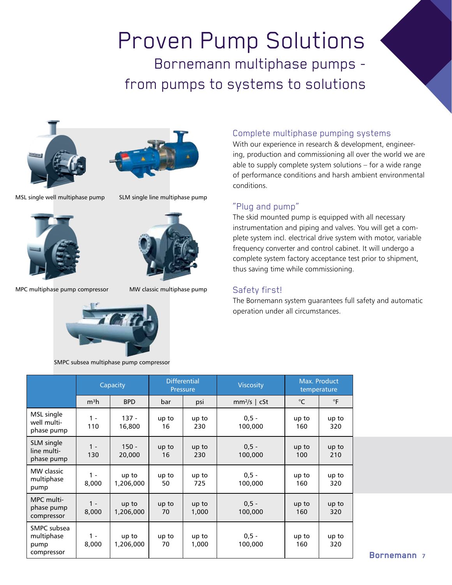# Proven Pump Solutions Bornemann multiphase pumps from pumps to systems to solutions





MSL single well multiphase pump SLM single line multiphase pump





MPC multiphase pump compressor MW classic multiphase pump



SMPC subsea multiphase pump compressor

## Complete multiphase pumping systems

With our experience in research & development, engineering, production and commissioning all over the world we are able to supply complete system solutions – for a wide range of performance conditions and harsh ambient environmental conditions.

## "Plug and pump"

The skid mounted pump is equipped with all necessary instrumentation and piping and valves. You will get a complete system incl. electrical drive system with motor, variable frequency converter and control cabinet. It will undergo a complete system factory acceptance test prior to shipment, thus saving time while commissioning.

#### Safety first!

The Bornemann system guarantees full safety and automatic operation under all circumstances.

|                                                 | Capacity         |                    | <b>Differential</b><br>Pressure |                | <b>Viscosity</b>   | Max. Product<br>temperature |              |
|-------------------------------------------------|------------------|--------------------|---------------------------------|----------------|--------------------|-----------------------------|--------------|
|                                                 | m <sup>3</sup> h | <b>BPD</b>         | bar                             | psi            | $mm2/s$   cSt      | $^{\circ}C$                 | $\circ$ F    |
| MSL single<br>well multi-<br>phase pump         | $1 -$<br>110     | $137 -$<br>16,800  | up to<br>16                     | up to<br>230   | $0,5 -$<br>100,000 | up to<br>160                | up to<br>320 |
| SLM single<br>line multi-<br>phase pump         | $1 -$<br>130     | $150 -$<br>20,000  | up to<br>16                     | up to<br>230   | $0,5 -$<br>100,000 | up to<br>100                | up to<br>210 |
| MW classic<br>multiphase<br>pump                | $1 -$<br>8,000   | up to<br>1,206,000 | up to<br>50                     | up to<br>725   | $0,5 -$<br>100,000 | up to<br>160                | up to<br>320 |
| MPC multi-<br>phase pump<br>compressor          | $1 -$<br>8,000   | up to<br>1,206,000 | up to<br>70                     | up to<br>1,000 | $0,5 -$<br>100,000 | up to<br>160                | up to<br>320 |
| SMPC subsea<br>multiphase<br>pump<br>compressor | $1 -$<br>8,000   | up to<br>1,206,000 | up to<br>70                     | up to<br>1,000 | $0,5 -$<br>100,000 | up to<br>160                | up to<br>320 |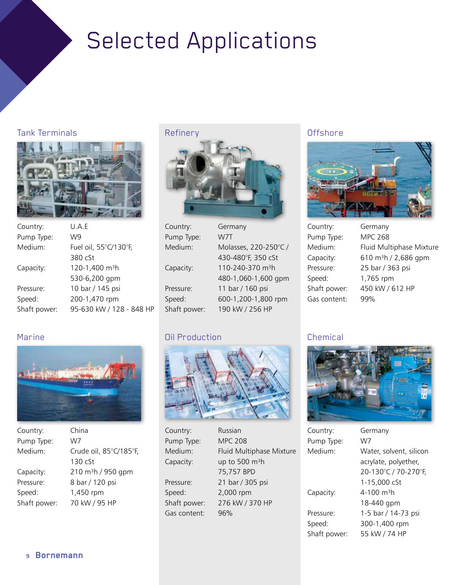# Selected Applications

# Tank Terminals



| Country:     | U.A.F                      |
|--------------|----------------------------|
| Pump Type:   | W9                         |
| Medium:      | Fuel oil, 55°C/130°F,      |
|              | 380 cSt                    |
| Capacity:    | 120-1,400 m <sup>3</sup> h |
|              | 530-6,200 gpm              |
| Pressure:    | 10 bar / 145 psi           |
| Speed:       | 200-1,470 rpm              |
| Shaft power: | 95-630 kW / 128 - 848 HP   |

## Refinery



| Country:     | Germany                      |
|--------------|------------------------------|
| Pump Type:   | W7T                          |
| Medium:      | Molasses, 220-250°C /        |
|              | 430-480°F, 350 cSt           |
| Capacity:    | 110-240-370 m <sup>3</sup> h |
|              | 480-1,060-1,600 gpm          |
| Pressure:    | 11 bar / 160 psi             |
| Speed:       | 600-1,200-1,800 rpm          |
| Shaft power: | 190 kW / 256 HP              |

# Oil Production



Country: Russian Pump Type: MPC 208 Medium: Fluid Multiphase Mixture Capacity:  $up to 500 m<sup>3</sup>h$  75,757 BPD Pressure: 21 bar / 305 psi Speed: 2,000 rpm Shaft power: 276 kW / 370 HP Gas content: 96%

# **Offshore**



| Country:     | Germany        |
|--------------|----------------|
| Pump Type:   | <b>MPC 268</b> |
| Medium:      | Fluid Multi    |
| Capacity:    | 610 $m^3h/$    |
| Pressure:    | 25 bar / 36    |
| Speed:       | 1,765 rpm      |
| Shaft power: | 450 kW / 6     |
| Gas content: | 99%            |
|              |                |

| Country:     | Germany                          |
|--------------|----------------------------------|
| Pump Type:   | <b>MPC 268</b>                   |
| Medium:      | Fluid Multiphase Mixture         |
| Capacity:    | 610 m <sup>3</sup> h / 2,686 gpm |
| Pressure:    | 25 bar / 363 psi                 |
| Speed:       | 1,765 rpm                        |
| Shaft power: | 450 kW / 612 HP                  |
| Gas content: | 99%                              |

# **Chemical**



| Country:            | Germany                 |
|---------------------|-------------------------|
| Pump Type:          | W7                      |
| Medium <sup>.</sup> | Water, solvent, silicon |
|                     | acrylate, polyether,    |
|                     | 20-130°C / 70-270°F,    |
|                     | 1-15,000 cSt            |
| Capacity:           | 4-100 $m^3h$            |
|                     | 18-440 gpm              |
| Pressure:           | 1-5 bar / 14-73 psi     |
| Speed:              | 300-1,400 rpm           |
| Shaft power:        | 55 kW / 74 HP           |
|                     |                         |

# Marine



| Country:     | China                         |
|--------------|-------------------------------|
| Pump Type:   | W7                            |
| Medium:      | Crude oil, 85°C/185°F,        |
|              | 130 <sub>cs</sub>             |
| Capacity:    | $210 \text{ m}^3$ h / 950 gpm |
| Pressure:    | 8 bar / 120 psi               |
| Speed:       | 1,450 rpm                     |
| Shaft power: | 70 kW / 95 HP                 |
|              |                               |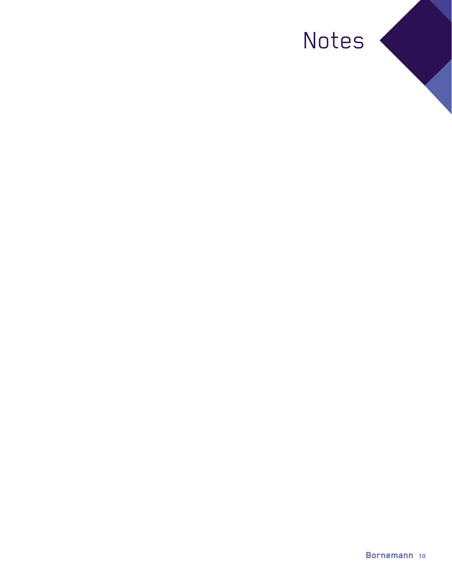# Notes <

a.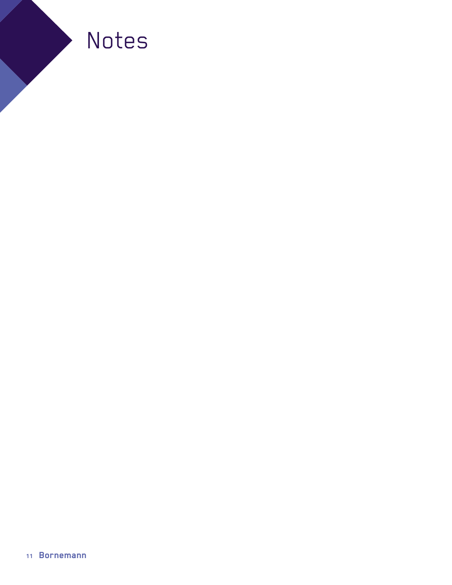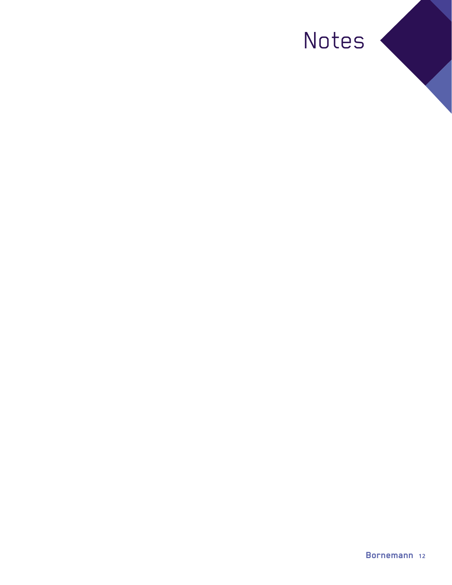# Notes <

a.